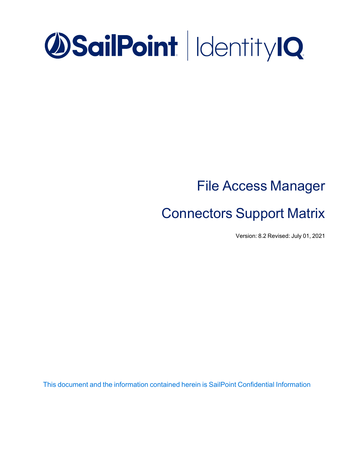# **OSailPoint | IdentityIQ**

## File Access Manager

## Connectors Support Matrix

Version: 8.2 Revised: July 01, 2021

This document and the information contained herein is SailPoint Confidential Information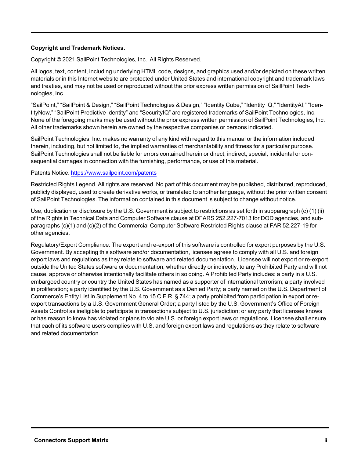#### **Copyright and Trademark Notices.**

Copyright © 2021 SailPoint Technologies, Inc. All Rights Reserved.

All logos, text, content, including underlying HTML code, designs, and graphics used and/or depicted on these written materials or in this Internet website are protected under United States and international copyright and trademark laws and treaties, and may not be used or reproduced without the prior express written permission of SailPoint Technologies, Inc.

"SailPoint," "SailPoint & Design," "SailPoint Technologies & Design," "Identity Cube," "Identity IQ," "IdentityAI," "IdentityNow," "SailPoint Predictive Identity" and "SecurityIQ" are registered trademarks of SailPoint Technologies, Inc. None of the foregoing marks may be used without the prior express written permission of SailPoint Technologies, Inc. All other trademarks shown herein are owned by the respective companies or persons indicated.

SailPoint Technologies, Inc. makes no warranty of any kind with regard to this manual or the information included therein, including, but not limited to, the implied warranties of merchantability and fitness for a particular purpose. SailPoint Technologies shall not be liable for errors contained herein or direct, indirect, special, incidental or consequential damages in connection with the furnishing, performance, or use of this material.

#### Patents Notice. <https://www.sailpoint.com/patents>

Restricted Rights Legend. All rights are reserved. No part of this document may be published, distributed, reproduced, publicly displayed, used to create derivative works, or translated to another language, without the prior written consent of SailPoint Technologies. The information contained in this document is subject to change without notice.

Use, duplication or disclosure by the U.S. Government is subject to restrictions as set forth in subparagraph (c) (1) (ii) of the Rights in Technical Data and Computer Software clause at DFARS 252.227-7013 for DOD agencies, and subparagraphs (c)(1) and (c)(2) of the Commercial Computer Software Restricted Rights clause at FAR 52.227-19 for other agencies.

Regulatory/Export Compliance. The export and re-export of this software is controlled for export purposes by the U.S. Government. By accepting this software and/or documentation, licensee agrees to comply with all U.S. and foreign export laws and regulations as they relate to software and related documentation. Licensee will not export or re-export outside the United States software or documentation, whether directly or indirectly, to any Prohibited Party and will not cause, approve or otherwise intentionally facilitate others in so doing. A Prohibited Party includes: a party in a U.S. embargoed country or country the United States has named as a supporter of international terrorism; a party involved in proliferation; a party identified by the U.S. Government as a Denied Party; a party named on the U.S. Department of Commerce's Entity List in Supplement No. 4 to 15 C.F.R. § 744; a party prohibited from participation in export or reexport transactions by a U.S. Government General Order; a party listed by the U.S. Government's Office of Foreign Assets Control as ineligible to participate in transactions subject to U.S. jurisdiction; or any party that licensee knows or has reason to know has violated or plans to violate U.S. or foreign export laws or regulations. Licensee shall ensure that each of its software users complies with U.S. and foreign export laws and regulations as they relate to software and related documentation.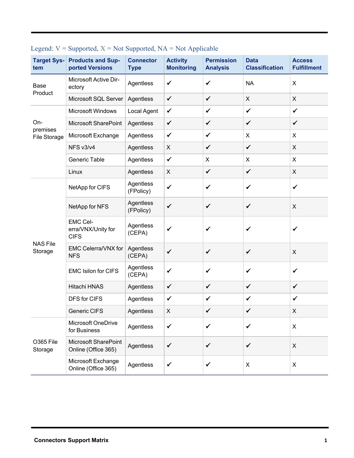| tem                             | <b>Target Sys- Products and Sup-</b><br>ported Versions | <b>Connector</b><br><b>Type</b> | <b>Activity</b><br><b>Monitoring</b> | <b>Permission</b><br><b>Analysis</b> | <b>Data</b><br><b>Classification</b> | <b>Access</b><br><b>Fulfillment</b> |
|---------------------------------|---------------------------------------------------------|---------------------------------|--------------------------------------|--------------------------------------|--------------------------------------|-------------------------------------|
| Base<br>Product                 | Microsoft Active Dir-<br>ectory                         | Agentless                       | $\checkmark$                         | $\checkmark$                         | <b>NA</b>                            | $\mathsf{X}$                        |
|                                 | Microsoft SQL Server                                    | Agentless                       | $\checkmark$                         | $\checkmark$                         | X                                    | $\mathsf{X}$                        |
| On-<br>premises<br>File Storage | Microsoft Windows                                       | Local Agent                     | $\checkmark$                         | $\checkmark$                         | $\checkmark$                         | $\checkmark$                        |
|                                 | Microsoft SharePoint                                    | Agentless                       | $\checkmark$                         | $\checkmark$                         | $\checkmark$                         | $\checkmark$                        |
|                                 | Microsoft Exchange                                      | Agentless                       | $\checkmark$                         | $\checkmark$                         | X                                    | X                                   |
|                                 | NFS v3/v4                                               | Agentless                       | X                                    | $\checkmark$                         | $\checkmark$                         | $\mathsf{X}$                        |
|                                 | Generic Table                                           | Agentless                       | $\checkmark$                         | X                                    | X                                    | $\pmb{\times}$                      |
|                                 | Linux                                                   | Agentless                       | X                                    | $\checkmark$                         | $\checkmark$                         | $\pmb{\times}$                      |
| <b>NAS File</b><br>Storage      | NetApp for CIFS                                         | Agentless<br>(FPolicy)          | $\checkmark$                         | $\checkmark$                         | $\checkmark$                         | $\checkmark$                        |
|                                 | NetApp for NFS                                          | Agentless<br>(FPolicy)          | $\checkmark$                         | $\checkmark$                         | $\checkmark$                         | $\pmb{\times}$                      |
|                                 | <b>EMC Cel-</b><br>erra/VNX/Unity for<br><b>CIFS</b>    | Agentless<br>(CEPA)             | ✓                                    | ✔                                    | ✔                                    | ✓                                   |
|                                 | EMC Celerra/VNX for<br><b>NFS</b>                       | Agentless<br>(CEPA)             | $\checkmark$                         | $\checkmark$                         | $\checkmark$                         | $\pmb{\times}$                      |
|                                 | <b>EMC Isilon for CIFS</b>                              | Agentless<br>(CEPA)             | $\checkmark$                         | $\checkmark$                         | $\checkmark$                         | $\checkmark$                        |
|                                 | Hitachi HNAS                                            | Agentless                       | $\checkmark$                         | $\checkmark$                         | $\checkmark$                         | $\checkmark$                        |
|                                 | DFS for CIFS                                            | Agentless                       | $\checkmark$                         | $\checkmark$                         | $\checkmark$                         | $\checkmark$                        |
|                                 | Generic CIFS                                            | Agentless                       | Χ                                    | $\checkmark$                         | $\checkmark$                         | X                                   |
| O365 File<br>Storage            | <b>Microsoft OneDrive</b><br>for Business               | Agentless                       | ✓                                    | $\checkmark$                         | ✓                                    | X                                   |
|                                 | Microsoft SharePoint<br>Online (Office 365)             | Agentless                       | $\checkmark$                         | $\checkmark$                         | $\checkmark$                         | $\pmb{\times}$                      |
|                                 | Microsoft Exchange<br>Online (Office 365)               | Agentless                       | $\checkmark$                         | $\checkmark$                         | X                                    | X                                   |

### Legend:  $V =$  Supported,  $X = Not$  Supported,  $NA = Not$  Applicable